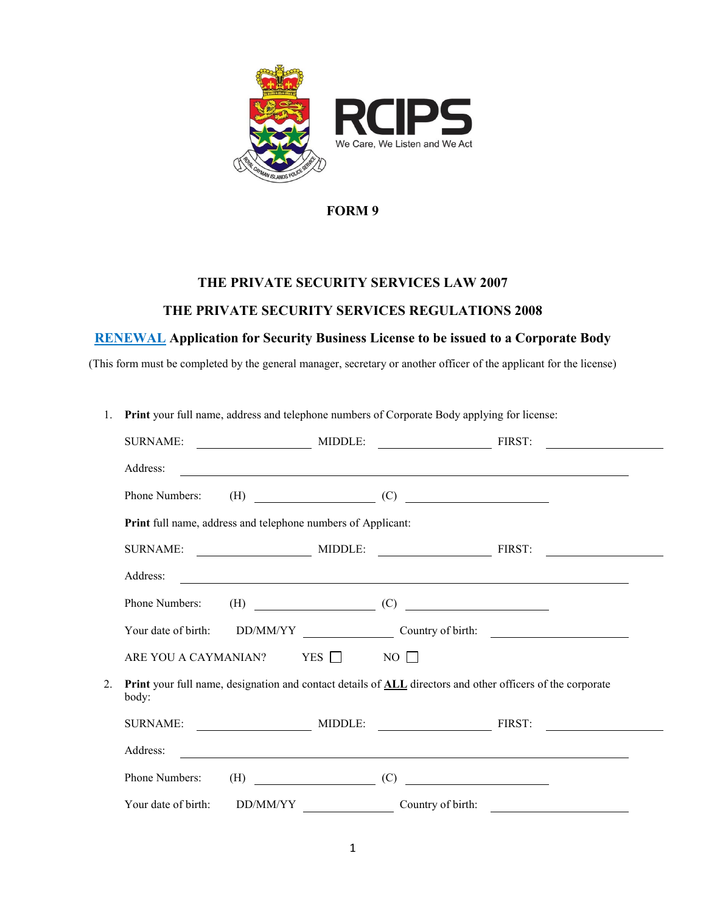

### **THE PRIVATE SECURITY SERVICES LAW 2007**

#### **THE PRIVATE SECURITY SERVICES REGULATIONS 2008**

# **RENEWAL Application for Security Business License to be issued to a Corporate Body**

(This form must be completed by the general manager, secretary or another officer of the applicant for the license)

| 1. | <b>Print</b> your full name, address and telephone numbers of Corporate Body applying for license:                  |           |                                                                                                                                                                                                                                                                                                                                                                            |                                                                                                                       |
|----|---------------------------------------------------------------------------------------------------------------------|-----------|----------------------------------------------------------------------------------------------------------------------------------------------------------------------------------------------------------------------------------------------------------------------------------------------------------------------------------------------------------------------------|-----------------------------------------------------------------------------------------------------------------------|
|    | <b>SURNAME:</b>                                                                                                     |           | MIDDLE: FIRST:                                                                                                                                                                                                                                                                                                                                                             | <u> 1989 - Johann Barnett, fransk politiker (</u>                                                                     |
|    | Address:                                                                                                            |           |                                                                                                                                                                                                                                                                                                                                                                            |                                                                                                                       |
|    | Phone Numbers:                                                                                                      |           |                                                                                                                                                                                                                                                                                                                                                                            |                                                                                                                       |
|    | Print full name, address and telephone numbers of Applicant:                                                        |           |                                                                                                                                                                                                                                                                                                                                                                            |                                                                                                                       |
|    | <b>SURNAME:</b>                                                                                                     |           |                                                                                                                                                                                                                                                                                                                                                                            | MIDDLE: FIRST: FIRST:                                                                                                 |
|    | Address:                                                                                                            |           |                                                                                                                                                                                                                                                                                                                                                                            | <u> 1989 - Johann Stoff, deutscher Stoff, der Stoff, der Stoff, der Stoff, der Stoff, der Stoff, der Stoff, der S</u> |
|    | Phone Numbers:                                                                                                      |           | $\text{(H)} \quad \begin{picture}(10,10) \put(0,0){\vector(1,0){100}} \put(15,0){\vector(1,0){100}} \put(15,0){\vector(1,0){100}} \put(15,0){\vector(1,0){100}} \put(15,0){\vector(1,0){100}} \put(15,0){\vector(1,0){100}} \put(15,0){\vector(1,0){100}} \put(15,0){\vector(1,0){100}} \put(15,0){\vector(1,0){100}} \put(15,0){\vector(1,0){100}} \put(15,0){\vector(1,$ |                                                                                                                       |
|    |                                                                                                                     |           |                                                                                                                                                                                                                                                                                                                                                                            |                                                                                                                       |
|    | ARE YOU A CAYMANIAN? YES $\Box$                                                                                     |           | $NO$ $\Box$                                                                                                                                                                                                                                                                                                                                                                |                                                                                                                       |
| 2. | Print your full name, designation and contact details of ALL directors and other officers of the corporate<br>body: |           |                                                                                                                                                                                                                                                                                                                                                                            |                                                                                                                       |
|    |                                                                                                                     |           |                                                                                                                                                                                                                                                                                                                                                                            |                                                                                                                       |
|    | Address:                                                                                                            |           |                                                                                                                                                                                                                                                                                                                                                                            | <u> 1989 - Johann Stoff, Amerikaansk politiker (* 1908)</u>                                                           |
|    | Phone Numbers:                                                                                                      | $\tag{C}$ | <u> Territoria de la contrada de la contrada de la contrada de la contrada de la contrada de la contrada de la c</u>                                                                                                                                                                                                                                                       |                                                                                                                       |
|    | Your date of birth:<br>DD/MM/YY                                                                                     |           | Country of birth:                                                                                                                                                                                                                                                                                                                                                          |                                                                                                                       |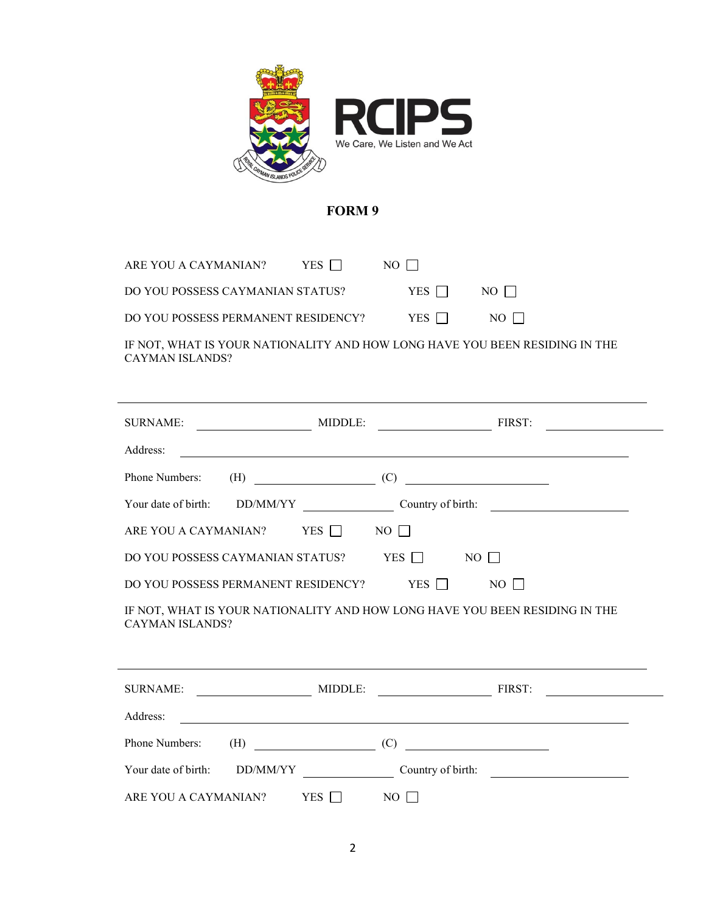

| ARE YOU A CAYMANIAN?                | YES 1 1 | $NO$ $\Box$ |        |
|-------------------------------------|---------|-------------|--------|
| DO YOU POSSESS CAYMANIAN STATUS?    |         | YES 1 1     | NO 1 1 |
| DO YOU POSSESS PERMANENT RESIDENCY? |         | YES 1 1     | NO LI  |
|                                     |         |             |        |

IF NOT, WHAT IS YOUR NATIONALITY AND HOW LONG HAVE YOU BEEN RESIDING IN THE CAYMAN ISLANDS?

|                              | SURNAME: MIDDLE: MIDDLE: FIRST:                                                                                       |                                                | $\overline{\phantom{a}}$                             |
|------------------------------|-----------------------------------------------------------------------------------------------------------------------|------------------------------------------------|------------------------------------------------------|
| Address:                     |                                                                                                                       |                                                | <u> 1989 - Johann Barn, fransk politik (d. 1989)</u> |
| Phone Numbers:               |                                                                                                                       |                                                |                                                      |
|                              |                                                                                                                       |                                                |                                                      |
|                              | ARE YOU A CAYMANIAN? YES $\Box$ NO $\Box$                                                                             |                                                |                                                      |
|                              | DO YOU POSSESS CAYMANIAN STATUS? YES □                                                                                | NO 11                                          |                                                      |
|                              | DO YOU POSSESS PERMANENT RESIDENCY? YES $\Box$ NO $\Box$                                                              |                                                |                                                      |
| <b>CAYMAN ISLANDS?</b>       | IF NOT, WHAT IS YOUR NATIONALITY AND HOW LONG HAVE YOU BEEN RESIDING IN THE                                           |                                                |                                                      |
|                              |                                                                                                                       |                                                |                                                      |
|                              |                                                                                                                       |                                                |                                                      |
| Address:                     | <u> 2000 - Jan James James Barnett, amerikan bahasa perangan pengaran pengaran pengaran pengaran pengaran pengara</u> |                                                |                                                      |
| Phone Numbers:               | $(H) \t\t (C)$                                                                                                        | <u> The Communication of the Communication</u> |                                                      |
| Your date of birth: DD/MM/YY |                                                                                                                       |                                                | Country of birth:                                    |
| ARE YOU A CAYMANIAN?         | $YES$ $\Box$                                                                                                          | $NO \Box$                                      |                                                      |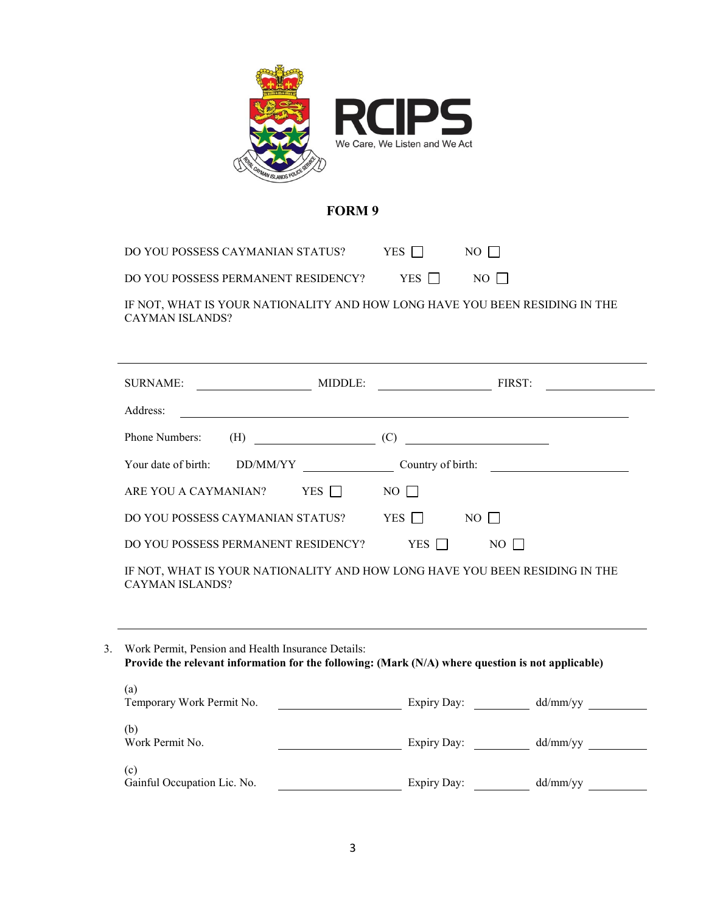

DO YOU POSSESS CAYMANIAN STATUS? YES  $\Box$  NO  $\Box$ 

| DO YOU POSSESS PERMANENT RESIDENCY? | YES $\Box$ |  |
|-------------------------------------|------------|--|
|-------------------------------------|------------|--|

IF NOT, WHAT IS YOUR NATIONALITY AND HOW LONG HAVE YOU BEEN RESIDING IN THE CAYMAN ISLANDS?

| <b>SURNAME:</b>                     | MIDDLE:<br>FIRST:                                                           |
|-------------------------------------|-----------------------------------------------------------------------------|
| Address:                            |                                                                             |
| Phone Numbers:<br>(H)               | (C)<br><u> 1989 - Johann Barbara, martxa alemani</u> ar a                   |
| Your date of birth:<br>DD/MM/YY     | Country of birth:                                                           |
| YES $\Box$<br>ARE YOU A CAYMANIAN?  | $NO$                                                                        |
| DO YOU POSSESS CAYMANIAN STATUS?    | YES    <br>$NO$                                                             |
| DO YOU POSSESS PERMANENT RESIDENCY? | YES    <br>$NO$ $\Box$                                                      |
| <b>CAYMAN ISLANDS?</b>              | IF NOT, WHAT IS YOUR NATIONALITY AND HOW LONG HAVE YOU BEEN RESIDING IN THE |
|                                     |                                                                             |

3. Work Permit, Pension and Health Insurance Details: **Provide the relevant information for the following: (Mark (N/A) where question is not applicable)** (a) Temporary Work Permit No. Expiry Day: dd/mm/yy (b)<br>Work Permit No. Expiry Day: dd/mm/yy

| (c)                         |             |          |
|-----------------------------|-------------|----------|
| Gainful Occupation Lic. No. | Expiry Day: | dd/mm/vv |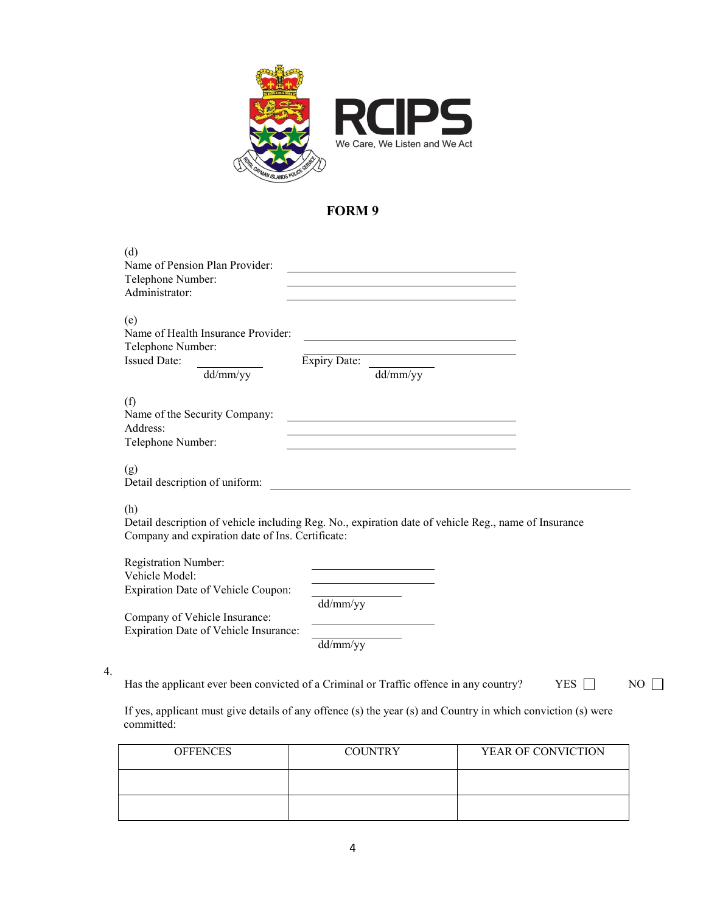

| (d)<br>Name of Pension Plan Provider:<br>Telephone Number:<br>Administrator:                      |                                                                                                      |            |    |
|---------------------------------------------------------------------------------------------------|------------------------------------------------------------------------------------------------------|------------|----|
| (e)<br>Name of Health Insurance Provider:<br>Telephone Number:<br><b>Issued Date:</b><br>dd/mm/yy | <u> 1989 - Johann Barnett, fransk politik (</u><br><b>Expiry Date:</b><br>dd/mm/yy                   |            |    |
| (f)<br>Name of the Security Company:<br>Address:<br>Telephone Number:                             |                                                                                                      |            |    |
| (g)<br>Detail description of uniform:                                                             |                                                                                                      |            |    |
| (h)<br>Company and expiration date of Ins. Certificate:                                           | Detail description of vehicle including Reg. No., expiration date of vehicle Reg., name of Insurance |            |    |
| <b>Registration Number:</b><br>Vehicle Model:<br>Expiration Date of Vehicle Coupon:               |                                                                                                      |            |    |
| Company of Vehicle Insurance:<br>Expiration Date of Vehicle Insurance:                            | dd/mm/yy<br>dd/mm/yy                                                                                 |            |    |
|                                                                                                   | Has the applicant ever been convicted of a Criminal or Traffic offence in any country?               | <b>YES</b> | NO |

If yes, applicant must give details of any offence (s) the year (s) and Country in which conviction (s) were committed:

4.

| <b>OFFENCES</b> | <b>COUNTRY</b> | YEAR OF CONVICTION |
|-----------------|----------------|--------------------|
|                 |                |                    |
|                 |                |                    |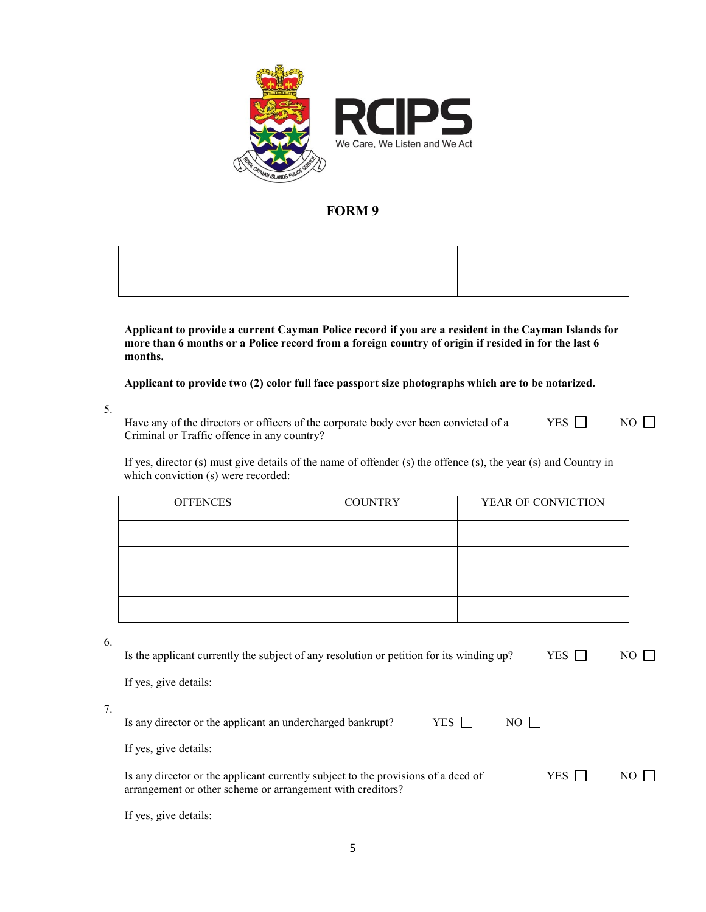

**Applicant to provide a current Cayman Police record if you are a resident in the Cayman Islands for more than 6 months or a Police record from a foreign country of origin if resided in for the last 6 months.**

**Applicant to provide two (2) color full face passport size photographs which are to be notarized.**

5.

Have any of the directors or officers of the corporate body ever been convicted of a Criminal or Traffic offence in any country? YES  $\Box$  NO  $\Box$ 

If yes, director (s) must give details of the name of offender (s) the offence (s), the year (s) and Country in which conviction (s) were recorded:

| <b>OFFENCES</b> | <b>COUNTRY</b> | YEAR OF CONVICTION |
|-----------------|----------------|--------------------|
|                 |                |                    |
|                 |                |                    |
|                 |                |                    |
|                 |                |                    |

6.

| Is the applicant currently the subject of any resolution or petition for its winding up?<br>YES<br>NO                                                         |
|---------------------------------------------------------------------------------------------------------------------------------------------------------------|
| If yes, give details:                                                                                                                                         |
| YES.<br>Is any director or the applicant an undercharged bankrupt?<br>NO 11                                                                                   |
| If yes, give details:                                                                                                                                         |
| Is any director or the applicant currently subject to the provisions of a deed of<br>YES<br>NO.<br>arrangement or other scheme or arrangement with creditors? |
| If yes, give details:                                                                                                                                         |